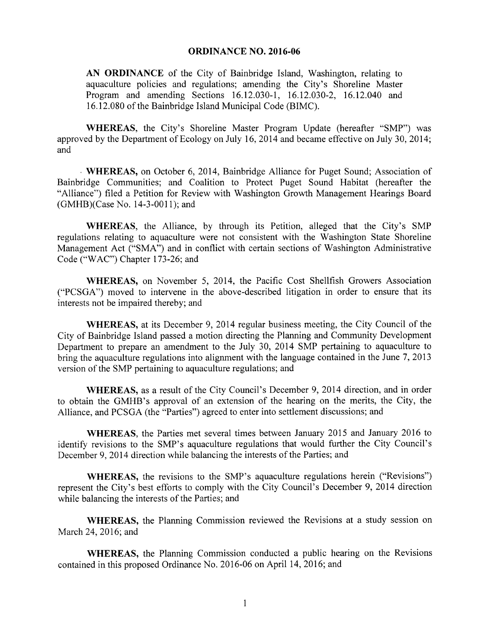## ORDINANCE NO. 2016-06

AN ORDINANCE of the City of Bainbridge Island, Washington, relating to aquaculture policies and regulations; amending the City's Shoreline Master Program and amending Sections 16.12.030-1, 16.12.030-2, 16.12.040 and 16. 12. 080 of the Bainbridge Island Municipal Code (BIMC).

WHEREAS, the City's Shoreline Master Program Update (hereafter "SMP") was approved by the Department of Ecology on July 16, 2014 and became effective on July 30, 2014; and

WHEREAS, on October 6, 2014, Bainbridge Alliance for Puget Sound; Association of Bainbridge Communities; and Coalition to Protect Puget Sound Habitat ( hereafter the Alliance") filed a Petition for Review with Washington Growth Management Hearings Board (GMHB)(Case No. 14-3-0011); and

WHEREAS, the Alliance, by through its Petition, alleged that the City's SMP regulations relating to aquaculture were not consistent with the Washington State Shoreline Management Act ("SMA") and in conflict with certain sections of Washington Administrative Code ("WAC") Chapter 173-26; and

WHEREAS, on November 5, 2014, the Pacific Cost Shellfish Growers Association PCSGA") moved to intervene in the above-described litigation in order to ensure that its interests not be impaired thereby; and

WHEREAS, at its December 9, 2014 regular business meeting, the City Council of the City of Bainbridge Island passed <sup>a</sup> motion directing the Planning and Community Development Department to prepare an amendment to the July 30, 2014 SMP pertaining to aquaculture to bring the aquaculture regulations into alignment with the language contained in the June 7, 2013 version of the SMP pertaining to aquaculture regulations; and

WHEREAS, as a result of the City Council's December 9, 2014 direction, and in order to obtain the GMHB's approval of an extension of the hearing on the merits, the City, the Alliance, and PCSGA (the "Parties") agreed to enter into settlement discussions; and

WHEREAS, the Parties met several times between January 2015 and January 2016 to identify revisions to the SMP's aquaculture regulations that would further the City Council's December 9, 2014 direction while balancing the interests of the Parties; and

WHEREAS, the revisions to the SMP's aquaculture regulations herein ("Revisions") represent the City's best efforts to comply with the City Council's December 9, 2014 direction while balancing the interests of the Parties; and

WHEREAS, the Planning Commission reviewed the Revisions at a study session on March 24, 2016; and

WHEREAS, the Planning Commission conducted a public hearing on the Revisions contained in this proposed Ordinance No. 2016- 06 on April 14, 2016; and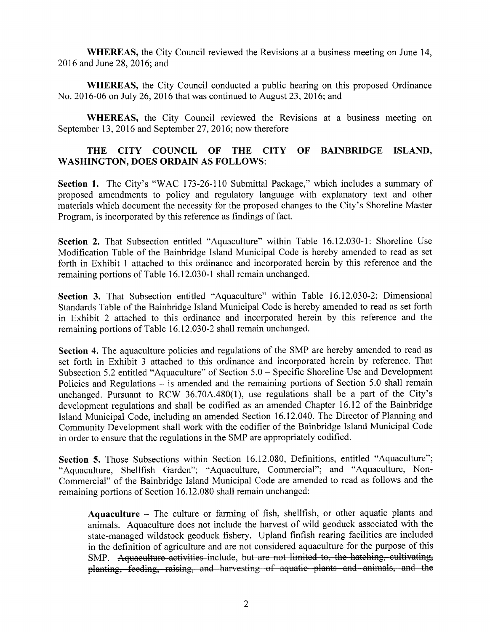WHEREAS, the City Council reviewed the Revisions at a business meeting on June 14, 2016 and June 28, 2016; and

WHEREAS, the City Council conducted a public hearing on this proposed Ordinance No. 2016- 06 on July 26, 2016 that was continued to August 23, 2016; and

WHEREAS, the City Council reviewed the Revisions at <sup>a</sup> business meeting on September 13, 2016 and September 27, 2016; now therefore

## THE CITY COUNCIL OF THE CITY OF BAINBRIDGE ISLAND, WASHINGTON, DOES ORDAIN AS FOLLOWS:

Section 1. The City's "WAC 173-26-110 Submittal Package," which includes a summary of proposed amendments to policy and regulatory language with explanatory text and other materials which document the necessity for the proposed changes to the City's Shoreline Master Program, is incorporated by this reference as findings of fact.

Section 2. That Subsection entitled "Aquaculture" within Table 16.12.030-1: Shoreline Use Modification Table of the Bainbridge Island Municipal Code is hereby amended to read as set forth in Exhibit <sup>1</sup> attached to this ordinance and incorporated herein by this reference and the remaining portions of Table 16.12.030-1 shall remain unchanged.

Section 3. That Subsection entitled "Aquaculture" within Table 16.12.030-2: Dimensional Standards Table of the Bainbridge Island Municipal Code is hereby amended to read as set forth in Exhibit 2 attached to this ordinance and incorporated herein by this reference and the remaining portions of Table 16.12.030-2 shall remain unchanged.

Section 4. The aquaculture policies and regulations of the SMP are hereby amended to read as set forth in Exhibit <sup>3</sup> attached to this ordinance and incorporated herein by reference. That Subsection 5.2 entitled "Aquaculture" of Section 5.0 – Specific Shoreline Use and Development Policies and Regulations – is amended and the remaining portions of Section 5.0 shall remain unchanged. Pursuant to RCW 36.70A.480 $(1)$ , use regulations shall be a part of the City's development regulations and shall be codified as an amended Chapter 16. <sup>12</sup> of the Bainbridge Island Municipal Code, including an amended Section 16. 12. 040. The Director of Planning and Community Development shall work with the codifier of the Bainbridge Island Municipal Code in order to ensure that the regulations in the SMP are appropriately codified.

Section 5. Those Subsections within Section 16.12.080, Definitions, entitled "Aquaculture"; Aquaculture, Shellfish Garden"; " Aquaculture, Commercial"; and " Aquaculture, Non-Commercial" of the Bainbridge Island Municipal Code are amended to read as follows and the remaining portions of Section 16. 12. 080 shall remain unchanged:

Aquaculture — The culture or farming of fish, shellfish, or other aquatic plants and animals. Aquaculture does not include the harvest of wild geoduck associated with the state-managed wildstock geoduck fishery. Upland finfish rearing facilities are included in the definition of agriculture and are not considered aquaculture for the purpose of this SMP. Aquaculture activities include, but are not limited to, the hatching, cultivating, planting, feeding, raising, and harvesting of aquatic plants and animals, and the